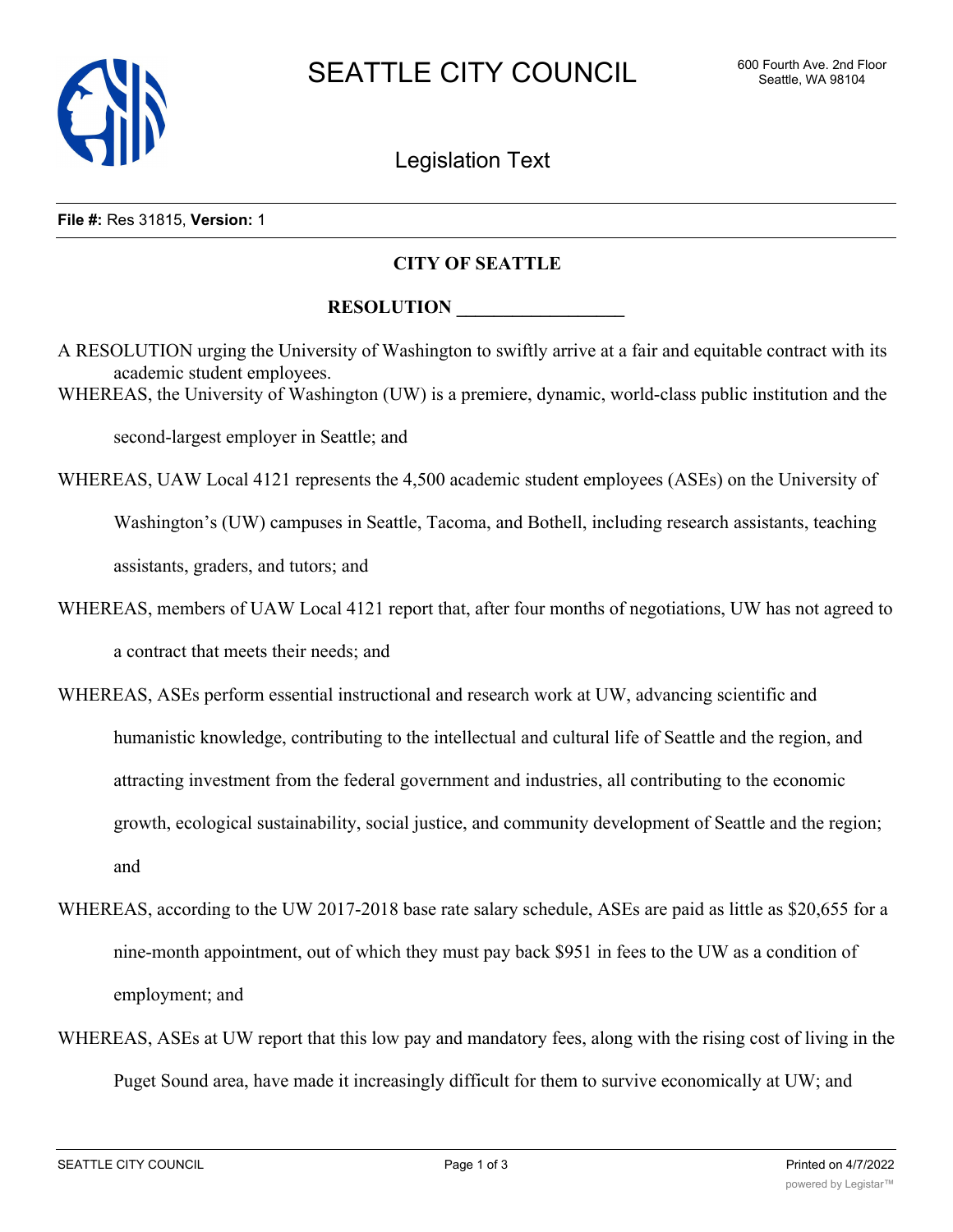

# Legislation Text

#### **File #:** Res 31815, **Version:** 1

### **CITY OF SEATTLE**

## **RESOLUTION**

A RESOLUTION urging the University of Washington to swiftly arrive at a fair and equitable contract with its academic student employees.

WHEREAS, the University of Washington (UW) is a premiere, dynamic, world-class public institution and the

second-largest employer in Seattle; and

WHEREAS, UAW Local 4121 represents the 4,500 academic student employees (ASEs) on the University of Washington's (UW) campuses in Seattle, Tacoma, and Bothell, including research assistants, teaching assistants, graders, and tutors; and

- WHEREAS, members of UAW Local 4121 report that, after four months of negotiations, UW has not agreed to a contract that meets their needs; and
- WHEREAS, ASEs perform essential instructional and research work at UW, advancing scientific and humanistic knowledge, contributing to the intellectual and cultural life of Seattle and the region, and attracting investment from the federal government and industries, all contributing to the economic growth, ecological sustainability, social justice, and community development of Seattle and the region; and
- WHEREAS, according to the UW 2017-2018 base rate salary schedule, ASEs are paid as little as \$20,655 for a nine-month appointment, out of which they must pay back \$951 in fees to the UW as a condition of employment; and
- WHEREAS, ASEs at UW report that this low pay and mandatory fees, along with the rising cost of living in the Puget Sound area, have made it increasingly difficult for them to survive economically at UW; and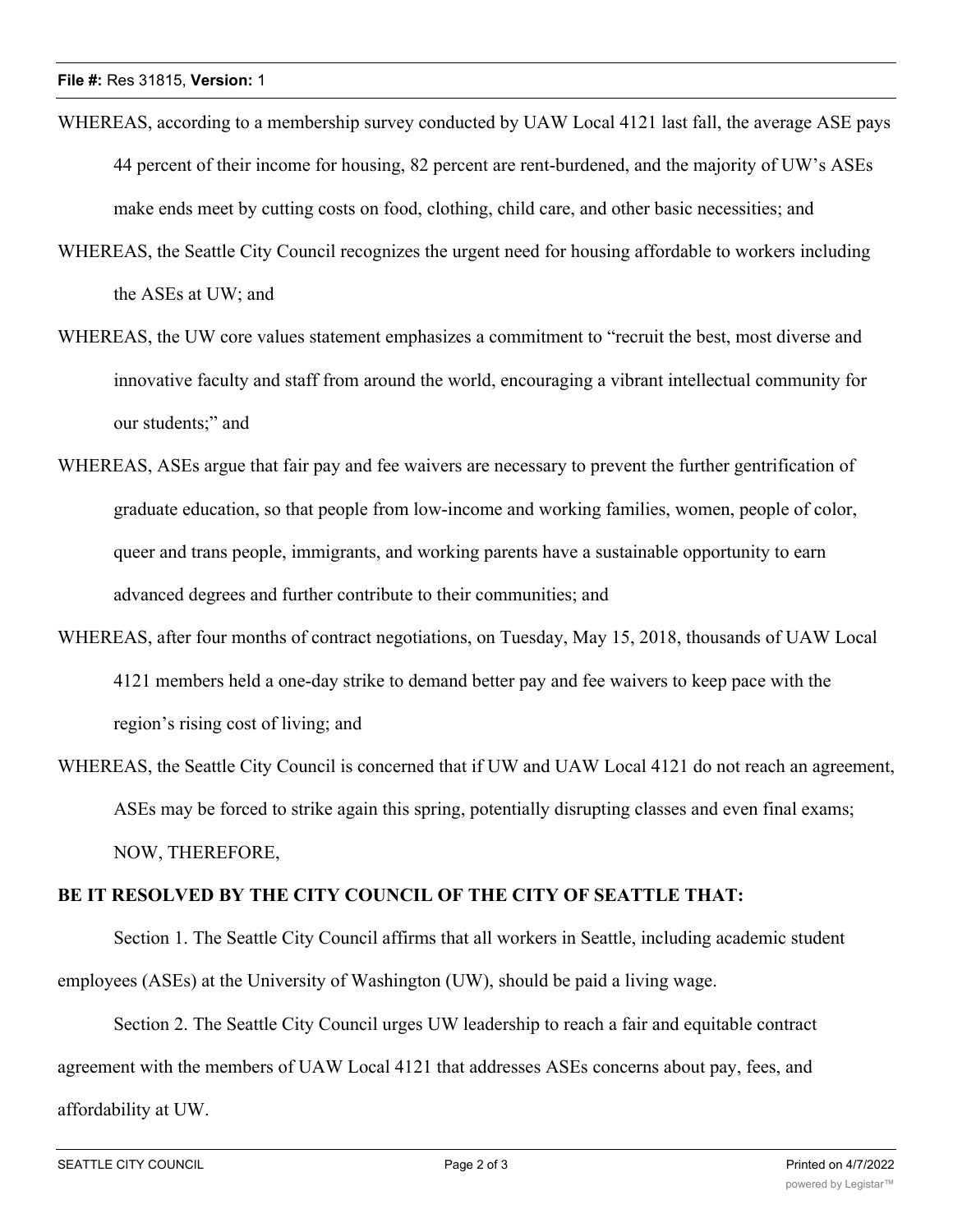- WHEREAS, according to a membership survey conducted by UAW Local 4121 last fall, the average ASE pays 44 percent of their income for housing, 82 percent are rent-burdened, and the majority of UW's ASEs make ends meet by cutting costs on food, clothing, child care, and other basic necessities; and
- WHEREAS, the Seattle City Council recognizes the urgent need for housing affordable to workers including the ASEs at UW; and
- WHEREAS, the UW core values statement emphasizes a commitment to "recruit the best, most diverse and innovative faculty and staff from around the world, encouraging a vibrant intellectual community for our students;" and
- WHEREAS, ASEs argue that fair pay and fee waivers are necessary to prevent the further gentrification of graduate education, so that people from low-income and working families, women, people of color, queer and trans people, immigrants, and working parents have a sustainable opportunity to earn advanced degrees and further contribute to their communities; and
- WHEREAS, after four months of contract negotiations, on Tuesday, May 15, 2018, thousands of UAW Local 4121 members held a one-day strike to demand better pay and fee waivers to keep pace with the region's rising cost of living; and
- WHEREAS, the Seattle City Council is concerned that if UW and UAW Local 4121 do not reach an agreement, ASEs may be forced to strike again this spring, potentially disrupting classes and even final exams; NOW, THEREFORE,

## **BE IT RESOLVED BY THE CITY COUNCIL OF THE CITY OF SEATTLE THAT:**

Section 1. The Seattle City Council affirms that all workers in Seattle, including academic student employees (ASEs) at the University of Washington (UW), should be paid a living wage.

Section 2. The Seattle City Council urges UW leadership to reach a fair and equitable contract agreement with the members of UAW Local 4121 that addresses ASEs concerns about pay, fees, and affordability at UW.